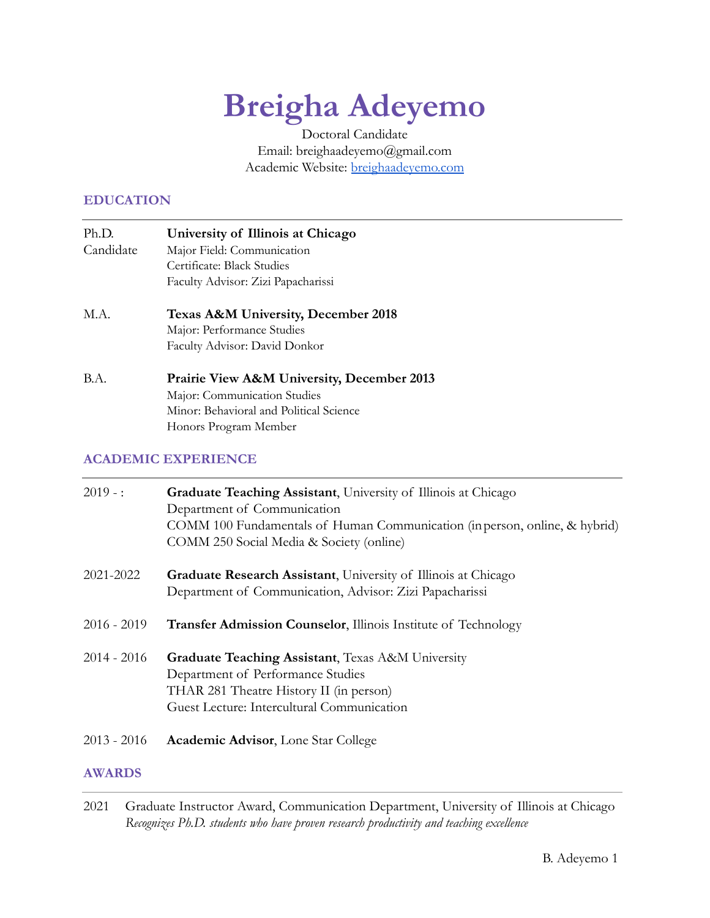# **Breigha Adeyemo**

Doctoral Candidate Email: breighaadeyemo@gmail.com Academic Website: [breighaadeyemo.com](http://breighaadeyemo.com)

#### **EDUCATION**

- Ph.D. **University of Illinois at Chicago** Candidate Major Field: Communication Certificate: Black Studies Faculty Advisor: Zizi Papacharissi
- M.A. **Texas A&M University, December 2018** Major: Performance Studies Faculty Advisor: David Donkor
- B.A. **Prairie View A&M University, December 2013** Major: Communication Studies Minor: Behavioral and Political Science Honors Program Member

# **ACADEMIC EXPERIENCE**

| $2019 -$ :    | Graduate Teaching Assistant, University of Illinois at Chicago<br>Department of Communication<br>COMM 100 Fundamentals of Human Communication (in person, online, & hybrid)<br>COMM 250 Social Media & Society (online) |
|---------------|-------------------------------------------------------------------------------------------------------------------------------------------------------------------------------------------------------------------------|
| 2021-2022     | <b>Graduate Research Assistant</b> , University of Illinois at Chicago<br>Department of Communication, Advisor: Zizi Papacharissi                                                                                       |
| $2016 - 2019$ | <b>Transfer Admission Counselor, Illinois Institute of Technology</b>                                                                                                                                                   |
| $2014 - 2016$ | Graduate Teaching Assistant, Texas A&M University<br>Department of Performance Studies<br>THAR 281 Theatre History II (in person)<br>Guest Lecture: Intercultural Communication                                         |
| $2013 - 2016$ | <b>Academic Advisor, Lone Star College</b>                                                                                                                                                                              |

#### **AWARDS**

<sup>2021</sup> Graduate Instructor Award, Communication Department, University of Illinois at Chicago *Recognizes Ph.D. students who have proven research productivity and teaching excellence*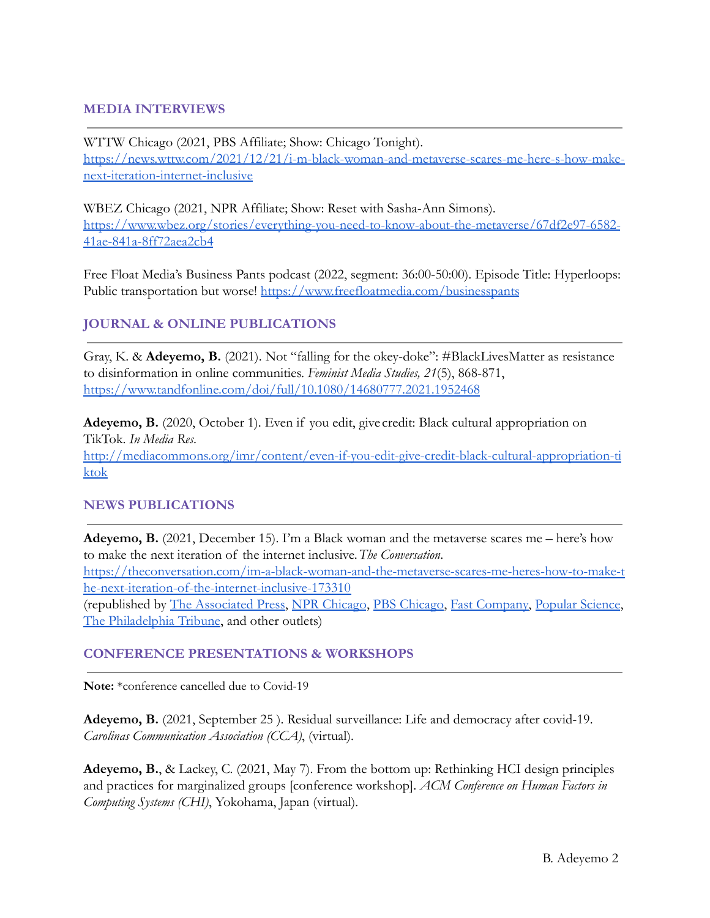## **MEDIA INTERVIEWS**

WTTW Chicago (2021, PBS Affiliate; Show: Chicago Tonight). [https://news.wttw.com/2021/12/21/i-m-black-woman-and-metaverse-scares-me-here-s-how-make](https://news.wttw.com/2021/12/21/i-m-black-woman-and-metaverse-scares-me-here-s-how-make-next-iteration-internet-inclusive)[next-iteration-internet-inclusive](https://news.wttw.com/2021/12/21/i-m-black-woman-and-metaverse-scares-me-here-s-how-make-next-iteration-internet-inclusive)

WBEZ Chicago (2021, NPR Affiliate; Show: Reset with Sasha-Ann Simons). [https://www.wbez.org/stories/everything-you-need-to-know-about-the-metaverse/67df2e97-6582-](https://www.wbez.org/stories/everything-you-need-to-know-about-the-metaverse/67df2e97-6582-41ae-841a-8ff72aea2cb4) [41ae-841a-8ff72aea2cb4](https://www.wbez.org/stories/everything-you-need-to-know-about-the-metaverse/67df2e97-6582-41ae-841a-8ff72aea2cb4)

Free Float Media's Business Pants podcast (2022, segment: 36:00-50:00). Episode Title: Hyperloops: Public transportation but worse! <https://www.freefloatmedia.com/businesspants>

## **JOURNAL & ONLINE PUBLICATIONS**

Gray, K. & **Adeyemo, B.** (2021). Not "falling for the okey-doke": #BlackLivesMatter as resistance to disinformation in online communities. *Feminist Media Studies, 21*(5), 868-871, <https://www.tandfonline.com/doi/full/10.1080/14680777.2021.1952468>

**Adeyemo, B.** (2020, October 1). Even if you edit, give credit: Black cultural appropriation on TikTok. *In Media Res*. [http://mediacommons.org/imr/content/even-if-you-edit-give-credit-black-cultural-appropriation-ti](http://mediacommons.org/imr/content/even-if-you-edit-give-credit-black-cultural-appropriation-tiktok) [ktok](http://mediacommons.org/imr/content/even-if-you-edit-give-credit-black-cultural-appropriation-tiktok)

## **NEWS PUBLICATIONS**

**Adeyemo, B.** (2021, December 15). I'm a Black woman and the metaverse scares me – here's how to make the next iteration of the internet inclusive.*The Conversation*. [https://theconversation.com/im-a-black-woman-and-the-metaverse-scares-me-heres-how-to-make-t](https://theconversation.com/im-a-black-woman-and-the-metaverse-scares-me-heres-how-to-make-the-next-iteration-of-the-internet-inclusive-173310) [he-next-iteration-of-the-internet-inclusive-173310](https://theconversation.com/im-a-black-woman-and-the-metaverse-scares-me-heres-how-to-make-the-next-iteration-of-the-internet-inclusive-173310) (republished by [The Associated Press](https://apnews.com/article/coronavirus-pandemic-health-religion-aec9e431af59e48e93a8c0769228920b), [NPR Chicago](https://www.wbez.org/stories/breigha-adeyemo-university-of-illinois-at-chicago-associated-press/2b69b9d4-76bb-4722-8483-3381906d75b6), [PBS Chicago,](https://news.wttw.com/2021/12/21/i-m-black-woman-and-metaverse-scares-me-here-s-how-make-next-iteration-internet-inclusive) [Fast Company,](https://www.fastcompany.com/90706466/the-metaverse-is-shaping-up-to-be-a-racist-hellscape-it-doesnt-have-to-be-that-way) [Popular Science](https://www.popsci.com/technology/metaverse-inclusive/),

[The Philadelphia Tribune](https://www.phillytrib.com/commentary/im-a-black-woman-and-the-metaverse-scares-me-here-s-how-to-make-the/article_b9cf930d-125f-5e5e-bd5b-41f4774d7898.html), and other outlets)

## **CONFERENCE PRESENTATIONS & WORKSHOPS**

**Note:** \*conference cancelled due to Covid-19

**Adeyemo, B.** (2021, September 25 ). Residual surveillance: Life and democracy after covid-19. *Carolinas Communication Association (CCA)*, (virtual).

**Adeyemo, B.**, & Lackey, C. (2021, May 7). From the bottom up: Rethinking HCI design principles and practices for marginalized groups [conference workshop]. *ACM Conference on Human Factors in Computing Systems (CHI)*, Yokohama, Japan (virtual).